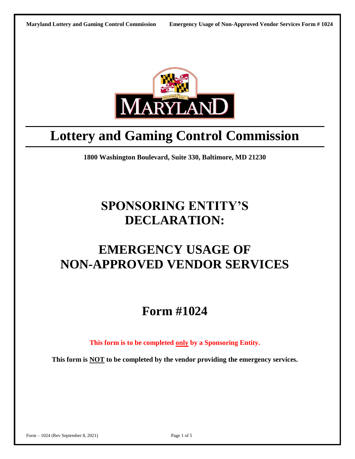

# **Lottery and Gaming Control Commission**

**1800 Washington Boulevard, Suite 330, Baltimore, MD 21230**

# **SPONSORING ENTITY'S DECLARATION:**

## **EMERGENCY USAGE OF NON-APPROVED VENDOR SERVICES**

## **Form #1024**

**This form is to be completed only by a Sponsoring Entity.** 

**This form is NOT to be completed by the vendor providing the emergency services.**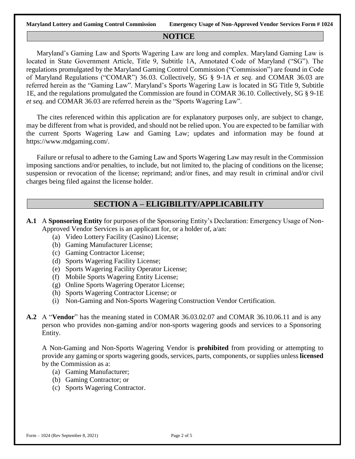#### **NOTICE**

Maryland's Gaming Law and Sports Wagering Law are long and complex. Maryland Gaming Law is located in State Government Article, Title 9, Subtitle 1A, Annotated Code of Maryland ("SG"). The regulations promulgated by the Maryland Gaming Control Commission ("Commission") are found in Code of Maryland Regulations ("COMAR") 36.03. Collectively, SG § 9-1A *et seq*. and COMAR 36.03 are referred herein as the "Gaming Law". Maryland's Sports Wagering Law is located in SG Title 9, Subtitle 1E, and the regulations promulgated the Commission are found in COMAR 36.10. Collectively, SG § 9-1E *et seq.* and COMAR 36.03 are referred herein as the "Sports Wagering Law".

The cites referenced within this application are for explanatory purposes only, are subject to change, may be different from what is provided, and should not be relied upon. You are expected to be familiar with the current Sports Wagering Law and Gaming Law; updates and information may be found at https://www.mdgaming.com/.

Failure or refusal to adhere to the Gaming Law and Sports Wagering Law may result in the Commission imposing sanctions and/or penalties, to include, but not limited to, the placing of conditions on the license; suspension or revocation of the license; reprimand; and/or fines, and may result in criminal and/or civil charges being filed against the license holder.

### **SECTION A – ELIGIBILITY/APPLICABILITY**

- **A.1** A **Sponsoring Entity** for purposes of the Sponsoring Entity's Declaration: Emergency Usage of Non-Approved Vendor Services is an applicant for, or a holder of, a/an:
	- (a) Video Lottery Facility (Casino) License;
	- (b) Gaming Manufacturer License;
	- (c) Gaming Contractor License;
	- (d) Sports Wagering Facility License;
	- (e) Sports Wagering Facility Operator License;
	- (f) Mobile Sports Wagering Entity License;
	- (g) Online Sports Wagering Operator License;
	- (h) Sports Wagering Contractor License; or
	- (i) Non-Gaming and Non-Sports Wagering Construction Vendor Certification.
- **A.2** A "**Vendor**" has the meaning stated in COMAR 36.03.02.07 and COMAR 36.10.06.11 and is any person who provides non-gaming and/or non-sports wagering goods and services to a Sponsoring Entity.

A Non-Gaming and Non-Sports Wagering Vendor is **prohibited** from providing or attempting to provide any gaming or sports wagering goods, services, parts, components, or supplies unless **licensed** by the Commission as a:

- (a) Gaming Manufacturer;
- (b) Gaming Contractor; or
- (c) Sports Wagering Contractor.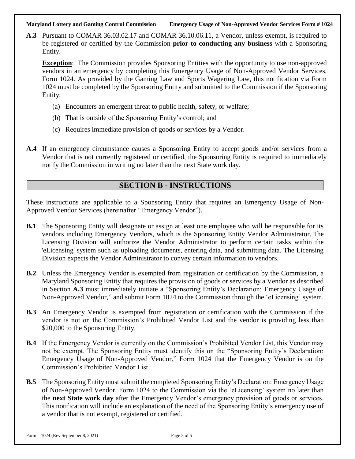#### **Maryland Lottery and Gaming Control Commission Emergency Usage of Non-Approved Vendor Services Form # 1024**

**A.3** Pursuant to COMAR 36.03.02.17 and COMAR 36.10.06.11, a Vendor, unless exempt, is required to be registered or certified by the Commission **prior to conducting any business** with a Sponsoring Entity.

**Exception**: The Commission provides Sponsoring Entities with the opportunity to use non-approved vendors in an emergency by completing this Emergency Usage of Non-Approved Vendor Services, Form 1024. As provided by the Gaming Law and Sports Wagering Law, this notification via Form 1024 must be completed by the Sponsoring Entity and submitted to the Commission if the Sponsoring Entity:

- (a) Encounters an emergent threat to public health, safety, or welfare;
- (b) That is outside of the Sponsoring Entity's control; and
- (c) Requires immediate provision of goods or services by a Vendor.
- **A.4** If an emergency circumstance causes a Sponsoring Entity to accept goods and/or services from a Vendor that is not currently registered or certified, the Sponsoring Entity is required to immediately notify the Commission in writing no later than the next State work day.

### **SECTION B - INSTRUCTIONS**

These instructions are applicable to a Sponsoring Entity that requires an Emergency Usage of Non-Approved Vendor Services (hereinafter "Emergency Vendor").

- **B.1** The Sponsoring Entity will designate or assign at least one employee who will be responsible for its vendors including Emergency Vendors, which is the Sponsoring Entity Vendor Administrator. The Licensing Division will authorize the Vendor Administrator to perform certain tasks within the 'eLicensing' system such as uploading documents, entering data, and submitting data. The Licensing Division expects the Vendor Administrator to convey certain information to vendors.
- **B.2** Unless the Emergency Vendor is exempted from registration or certification by the Commission, a Maryland Sponsoring Entity that requires the provision of goods or services by a Vendor as described in Section **A.3** must immediately initiate a "Sponsoring Entity's Declaration: Emergency Usage of Non-Approved Vendor," and submit Form 1024 to the Commission through the 'eLicensing' system.
- **B.3** An Emergency Vendor is exempted from registration or certification with the Commission if the vendor is not on the Commission's Prohibited Vendor List and the vendor is providing less than \$20,000 to the Sponsoring Entity.
- **B.4** If the Emergency Vendor is currently on the Commission's Prohibited Vendor List, this Vendor may not be exempt. The Sponsoring Entity must identify this on the "Sponsoring Entity's Declaration: Emergency Usage of Non-Approved Vendor," Form 1024 that the Emergency Vendor is on the Commission's Prohibited Vendor List.
- **B.5** The Sponsoring Entity must submit the completed Sponsoring Entity's Declaration: Emergency Usage of Non-Approved Vendor, Form 1024 to the Commission via the 'eLicensing' system no later than the **next State work day** after the Emergency Vendor's emergency provision of goods or services. This notification will include an explanation of the need of the Sponsoring Entity's emergency use of a vendor that is not exempt, registered or certified.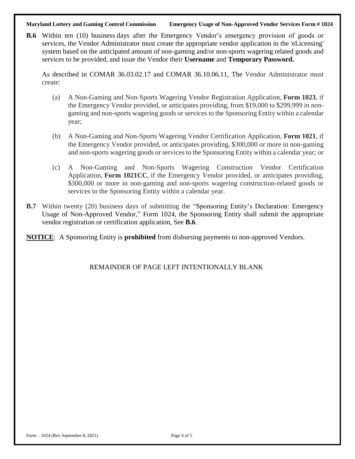**Maryland Lottery and Gaming Control Commission Emergency Usage of Non-Approved Vendor Services Form # 1024**

**B.6** Within ten (10) business days after the Emergency Vendor's emergency provision of goods or services, the Vendor Administrator must create the appropriate vendor application in the 'eLicensing' system based on the anticipated amount of non-gaming and/or non-sports wagering related goods and services to be provided, and issue the Vendor their **Username** and **Temporary Password.**

As described in COMAR 36.03.02.17 and COMAR 36.10.06.11, The Vendor Administrator must create:

- (a) A Non-Gaming and Non-Sports Wagering Vendor Registration Application, **Form 1023**, if the Emergency Vendor provided, or anticipates providing, from \$19,000 to \$299,999 in nongaming and non-sports wagering goods or services to the Sponsoring Entity within a calendar year;
- (b) A Non-Gaming and Non-Sports Wagering Vendor Certification Application, **Form 1021**, if the Emergency Vendor provided, or anticipates providing, \$300,000 or more in non-gaming and non-sports wagering goods or services to the Sponsoring Entity within a calendar year; or
- (c) A Non-Gaming and Non-Sports Wagering Construction Vendor Certification Application, **Form 1021CC**, if the Emergency Vendor provided, or anticipates providing, \$300,000 or more in non-gaming and non-sports wagering construction-related goods or services to the Sponsoring Entity within a calendar year.
- **B.7** Within twenty (20) business days of submitting the "Sponsoring Entity's Declaration: Emergency Usage of Non-Approved Vendor," Form 1024, the Sponsoring Entity shall submit the appropriate vendor registration or certification application, See **B.6**.

**NOTICE**: A Sponsoring Entity is **prohibited** from disbursing payments to non-approved Vendors.

REMAINDER OF PAGE LEFT INTENTIONALLY BLANK